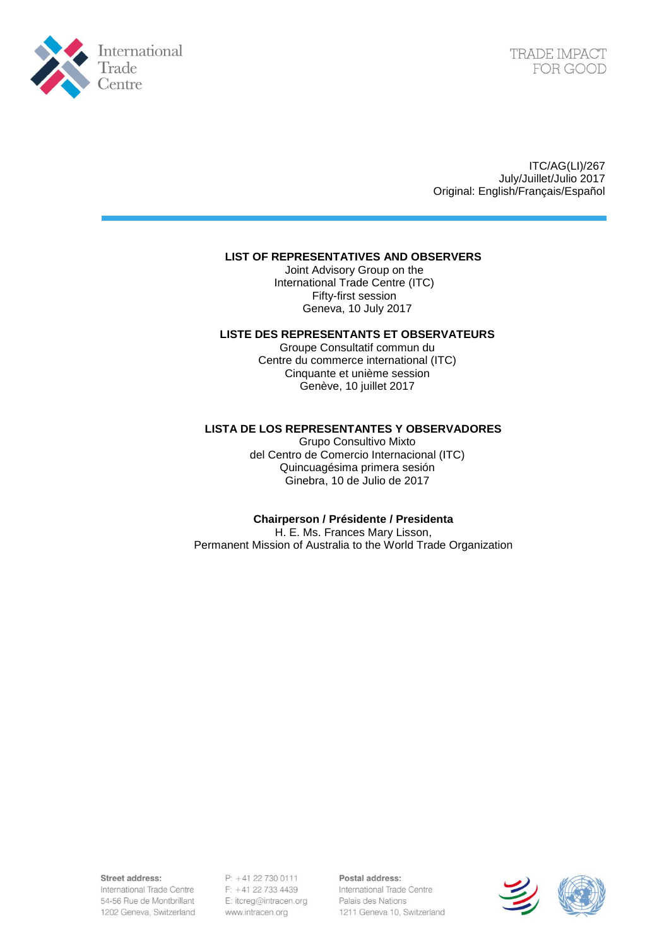

ITC/AG(LI)/267 July/Juillet/Julio 2017 Original: English/Français/Español

## **LIST OF REPRESENTATIVES AND OBSERVERS**

Joint Advisory Group on the International Trade Centre (ITC) Fifty-first session Geneva, 10 July 2017

## **LISTE DES REPRESENTANTS ET OBSERVATEURS**

Groupe Consultatif commun du Centre du commerce international (ITC) Cinquante et unième session Genève, 10 juillet 2017

## **LISTA DE LOS REPRESENTANTES Y OBSERVADORES**

Grupo Consultivo Mixto del Centro de Comercio Internacional (ITC) Quincuagésima primera sesión Ginebra, 10 de Julio de 2017

## **Chairperson / Présidente / Presidenta**

H. E. Ms. Frances Mary Lisson, Permanent Mission of Australia to the World Trade Organization

Street address:

International Trade Centre 54-56 Rue de Montbrillant 1202 Geneva, Switzerland

P: +41 22 730 0111 F: +41 22 733 4439 E: itcreg@intracen.org www.intracen.org

Postal address: International Trade Centre Palais des Nations 1211 Geneva 10, Switzerland

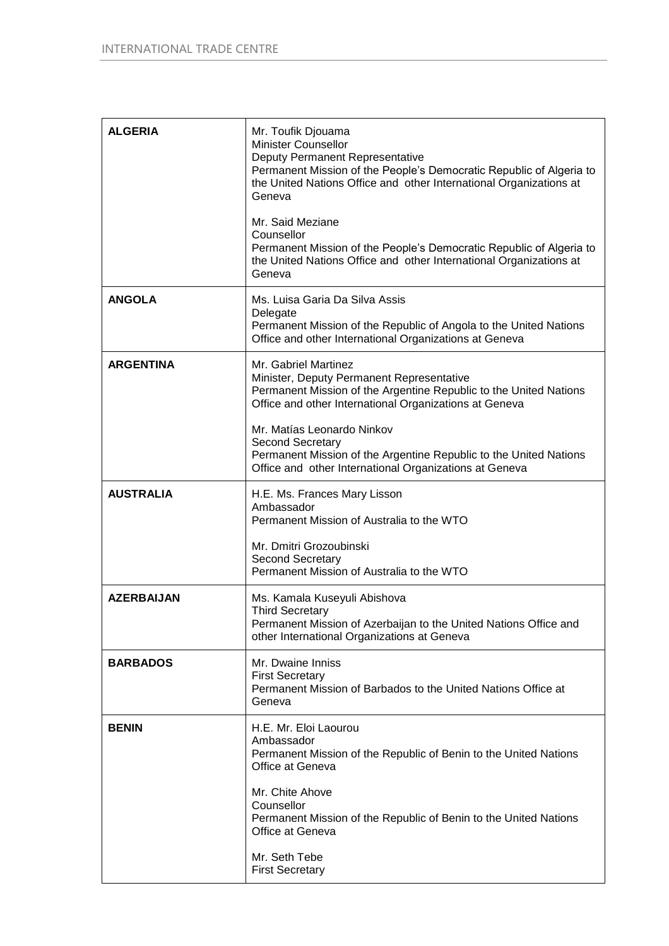| <b>ALGERIA</b>    | Mr. Toufik Djouama<br><b>Minister Counsellor</b><br>Deputy Permanent Representative<br>Permanent Mission of the People's Democratic Republic of Algeria to<br>the United Nations Office and other International Organizations at<br>Geneva<br>Mr. Said Meziane<br>Counsellor<br>Permanent Mission of the People's Democratic Republic of Algeria to<br>the United Nations Office and other International Organizations at<br>Geneva |
|-------------------|-------------------------------------------------------------------------------------------------------------------------------------------------------------------------------------------------------------------------------------------------------------------------------------------------------------------------------------------------------------------------------------------------------------------------------------|
| <b>ANGOLA</b>     | Ms. Luisa Garia Da Silva Assis<br>Delegate<br>Permanent Mission of the Republic of Angola to the United Nations<br>Office and other International Organizations at Geneva                                                                                                                                                                                                                                                           |
| <b>ARGENTINA</b>  | Mr. Gabriel Martinez<br>Minister, Deputy Permanent Representative<br>Permanent Mission of the Argentine Republic to the United Nations<br>Office and other International Organizations at Geneva<br>Mr. Matías Leonardo Ninkov<br><b>Second Secretary</b><br>Permanent Mission of the Argentine Republic to the United Nations<br>Office and other International Organizations at Geneva                                            |
| <b>AUSTRALIA</b>  | H.E. Ms. Frances Mary Lisson<br>Ambassador<br>Permanent Mission of Australia to the WTO<br>Mr. Dmitri Grozoubinski<br>Second Secretary<br>Permanent Mission of Australia to the WTO                                                                                                                                                                                                                                                 |
| <b>AZERBAIJAN</b> | Ms. Kamala Kuseyuli Abishova<br><b>Third Secretary</b><br>Permanent Mission of Azerbaijan to the United Nations Office and<br>other International Organizations at Geneva                                                                                                                                                                                                                                                           |
| <b>BARBADOS</b>   | Mr. Dwaine Inniss<br><b>First Secretary</b><br>Permanent Mission of Barbados to the United Nations Office at<br>Geneva                                                                                                                                                                                                                                                                                                              |
| <b>BENIN</b>      | H.E. Mr. Eloi Laourou<br>Ambassador<br>Permanent Mission of the Republic of Benin to the United Nations<br>Office at Geneva<br>Mr. Chite Ahove<br>Counsellor<br>Permanent Mission of the Republic of Benin to the United Nations<br>Office at Geneva<br>Mr. Seth Tebe<br><b>First Secretary</b>                                                                                                                                     |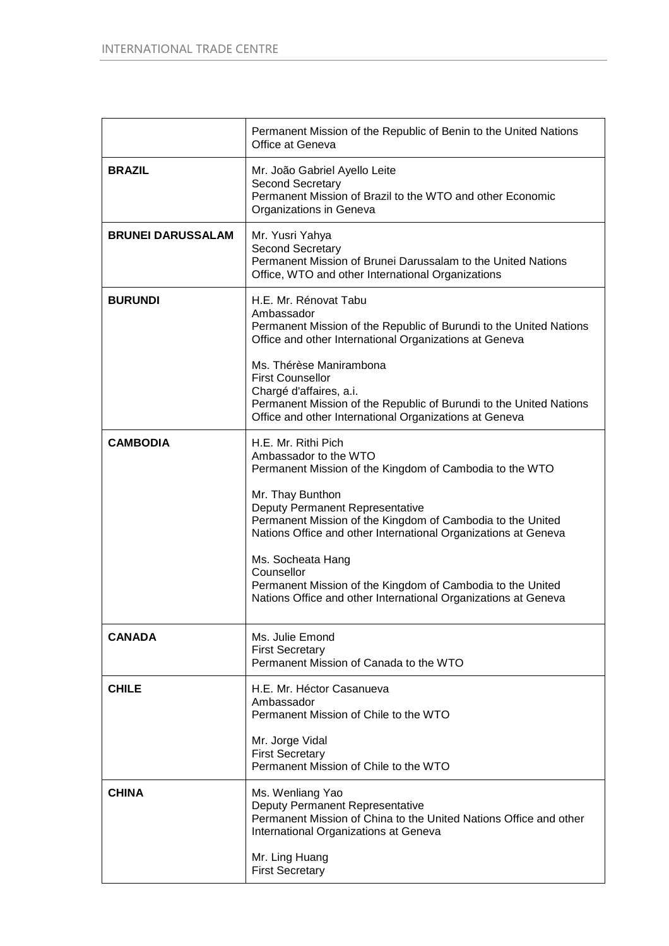|                          | Permanent Mission of the Republic of Benin to the United Nations<br>Office at Geneva                                                                                                                                                                                                                                                                                                                                                                              |
|--------------------------|-------------------------------------------------------------------------------------------------------------------------------------------------------------------------------------------------------------------------------------------------------------------------------------------------------------------------------------------------------------------------------------------------------------------------------------------------------------------|
| <b>BRAZIL</b>            | Mr. João Gabriel Ayello Leite<br>Second Secretary<br>Permanent Mission of Brazil to the WTO and other Economic<br>Organizations in Geneva                                                                                                                                                                                                                                                                                                                         |
| <b>BRUNEI DARUSSALAM</b> | Mr. Yusri Yahya<br><b>Second Secretary</b><br>Permanent Mission of Brunei Darussalam to the United Nations<br>Office, WTO and other International Organizations                                                                                                                                                                                                                                                                                                   |
| <b>BURUNDI</b>           | H.E. Mr. Rénovat Tabu<br>Ambassador<br>Permanent Mission of the Republic of Burundi to the United Nations<br>Office and other International Organizations at Geneva<br>Ms. Thérèse Manirambona<br><b>First Counsellor</b><br>Chargé d'affaires, a.i.<br>Permanent Mission of the Republic of Burundi to the United Nations<br>Office and other International Organizations at Geneva                                                                              |
| <b>CAMBODIA</b>          | H.E. Mr. Rithi Pich<br>Ambassador to the WTO<br>Permanent Mission of the Kingdom of Cambodia to the WTO<br>Mr. Thay Bunthon<br>Deputy Permanent Representative<br>Permanent Mission of the Kingdom of Cambodia to the United<br>Nations Office and other International Organizations at Geneva<br>Ms. Socheata Hang<br>Counsellor<br>Permanent Mission of the Kingdom of Cambodia to the United<br>Nations Office and other International Organizations at Geneva |
| <b>CANADA</b>            | Ms. Julie Emond<br><b>First Secretary</b><br>Permanent Mission of Canada to the WTO                                                                                                                                                                                                                                                                                                                                                                               |
| <b>CHILE</b>             | H.E. Mr. Héctor Casanueva<br>Ambassador<br>Permanent Mission of Chile to the WTO<br>Mr. Jorge Vidal<br><b>First Secretary</b><br>Permanent Mission of Chile to the WTO                                                                                                                                                                                                                                                                                            |
| <b>CHINA</b>             | Ms. Wenliang Yao<br>Deputy Permanent Representative<br>Permanent Mission of China to the United Nations Office and other<br>International Organizations at Geneva<br>Mr. Ling Huang<br><b>First Secretary</b>                                                                                                                                                                                                                                                     |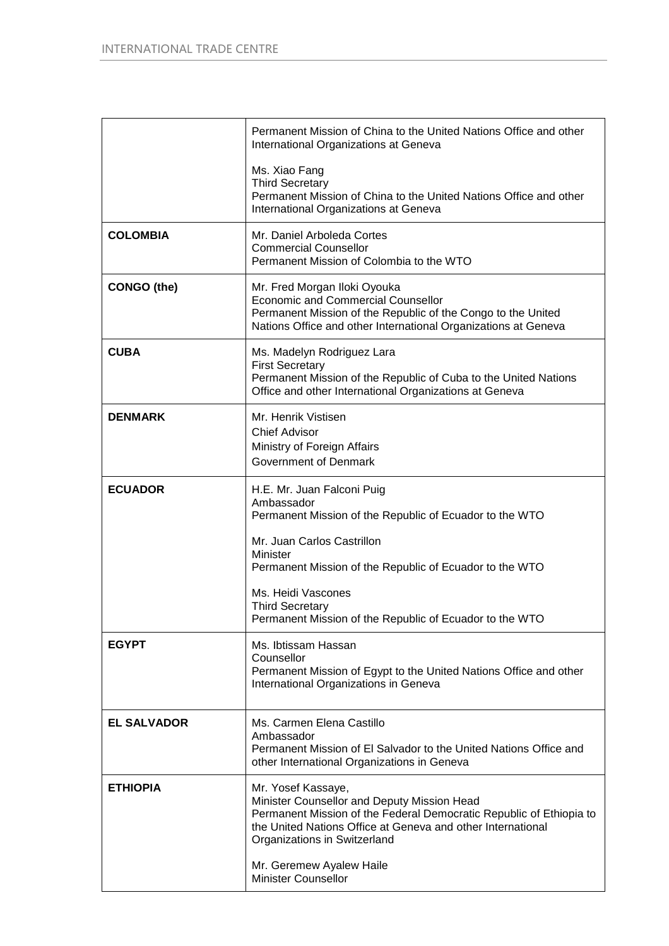|                    | Permanent Mission of China to the United Nations Office and other<br>International Organizations at Geneva                                                                                                                              |
|--------------------|-----------------------------------------------------------------------------------------------------------------------------------------------------------------------------------------------------------------------------------------|
|                    | Ms. Xiao Fang<br><b>Third Secretary</b><br>Permanent Mission of China to the United Nations Office and other<br>International Organizations at Geneva                                                                                   |
| <b>COLOMBIA</b>    | Mr. Daniel Arboleda Cortes<br><b>Commercial Counsellor</b><br>Permanent Mission of Colombia to the WTO                                                                                                                                  |
| <b>CONGO</b> (the) | Mr. Fred Morgan Iloki Oyouka<br><b>Economic and Commercial Counsellor</b><br>Permanent Mission of the Republic of the Congo to the United<br>Nations Office and other International Organizations at Geneva                             |
| <b>CUBA</b>        | Ms. Madelyn Rodriguez Lara<br><b>First Secretary</b><br>Permanent Mission of the Republic of Cuba to the United Nations<br>Office and other International Organizations at Geneva                                                       |
| <b>DENMARK</b>     | Mr. Henrik Vistisen<br><b>Chief Advisor</b><br>Ministry of Foreign Affairs<br><b>Government of Denmark</b>                                                                                                                              |
| <b>ECUADOR</b>     | H.E. Mr. Juan Falconi Puig<br>Ambassador<br>Permanent Mission of the Republic of Ecuador to the WTO                                                                                                                                     |
|                    | Mr. Juan Carlos Castrillon<br>Minister<br>Permanent Mission of the Republic of Ecuador to the WTO                                                                                                                                       |
|                    | Ms. Heidi Vascones<br><b>Third Secretary</b><br>Permanent Mission of the Republic of Ecuador to the WTO                                                                                                                                 |
| <b>EGYPT</b>       | Ms. Ibtissam Hassan<br>Counsellor<br>Permanent Mission of Egypt to the United Nations Office and other<br>International Organizations in Geneva                                                                                         |
| <b>EL SALVADOR</b> | Ms. Carmen Elena Castillo<br>Ambassador<br>Permanent Mission of El Salvador to the United Nations Office and<br>other International Organizations in Geneva                                                                             |
| <b>ETHIOPIA</b>    | Mr. Yosef Kassaye,<br>Minister Counsellor and Deputy Mission Head<br>Permanent Mission of the Federal Democratic Republic of Ethiopia to<br>the United Nations Office at Geneva and other International<br>Organizations in Switzerland |
|                    | Mr. Geremew Ayalew Haile<br><b>Minister Counsellor</b>                                                                                                                                                                                  |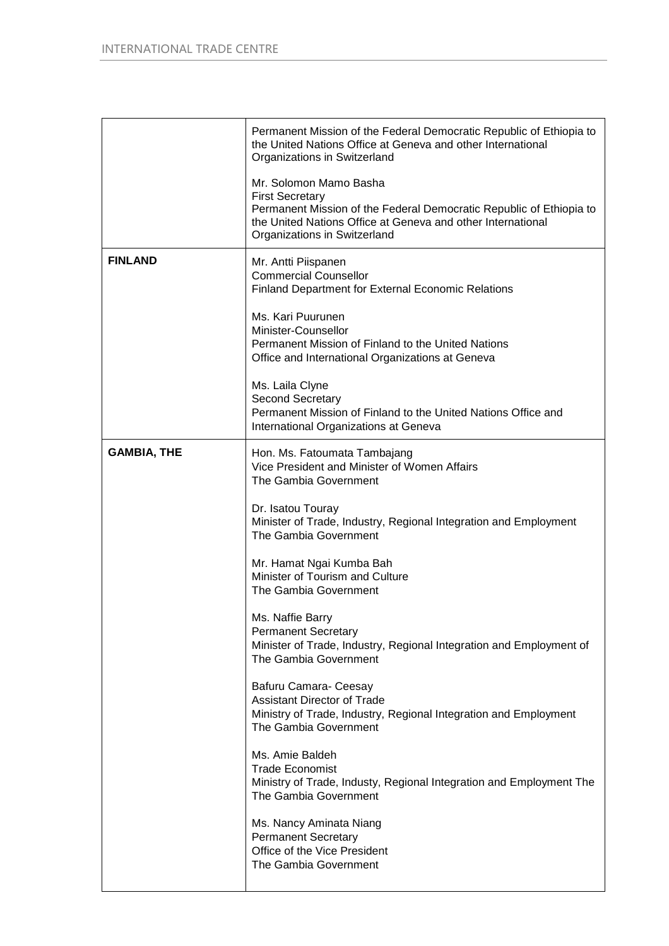|                    | Permanent Mission of the Federal Democratic Republic of Ethiopia to<br>the United Nations Office at Geneva and other International<br>Organizations in Switzerland                                                     |
|--------------------|------------------------------------------------------------------------------------------------------------------------------------------------------------------------------------------------------------------------|
|                    | Mr. Solomon Mamo Basha<br><b>First Secretary</b><br>Permanent Mission of the Federal Democratic Republic of Ethiopia to<br>the United Nations Office at Geneva and other International<br>Organizations in Switzerland |
| <b>FINLAND</b>     | Mr. Antti Piispanen<br><b>Commercial Counsellor</b><br><b>Finland Department for External Economic Relations</b>                                                                                                       |
|                    | Ms. Kari Puurunen<br>Minister-Counsellor<br>Permanent Mission of Finland to the United Nations<br>Office and International Organizations at Geneva                                                                     |
|                    | Ms. Laila Clyne<br><b>Second Secretary</b><br>Permanent Mission of Finland to the United Nations Office and<br>International Organizations at Geneva                                                                   |
| <b>GAMBIA, THE</b> | Hon. Ms. Fatoumata Tambajang<br>Vice President and Minister of Women Affairs<br>The Gambia Government                                                                                                                  |
|                    | Dr. Isatou Touray<br>Minister of Trade, Industry, Regional Integration and Employment<br>The Gambia Government                                                                                                         |
|                    | Mr. Hamat Ngai Kumba Bah<br>Minister of Tourism and Culture<br>The Gambia Government                                                                                                                                   |
|                    | Ms. Naffie Barry<br><b>Permanent Secretary</b><br>Minister of Trade, Industry, Regional Integration and Employment of<br>The Gambia Government                                                                         |
|                    | Bafuru Camara- Ceesay<br><b>Assistant Director of Trade</b><br>Ministry of Trade, Industry, Regional Integration and Employment<br>The Gambia Government                                                               |
|                    | Ms. Amie Baldeh<br>Trade Economist<br>Ministry of Trade, Industy, Regional Integration and Employment The<br>The Gambia Government                                                                                     |
|                    | Ms. Nancy Aminata Niang<br><b>Permanent Secretary</b><br>Office of the Vice President<br>The Gambia Government                                                                                                         |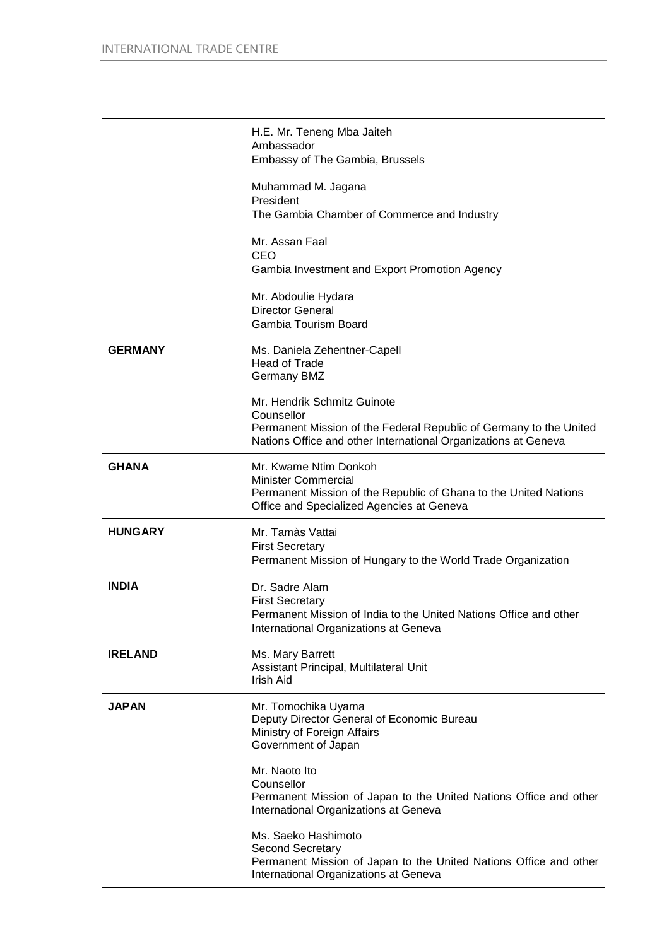|                | H.E. Mr. Teneng Mba Jaiteh<br>Ambassador<br>Embassy of The Gambia, Brussels                                                                                                       |
|----------------|-----------------------------------------------------------------------------------------------------------------------------------------------------------------------------------|
|                | Muhammad M. Jagana<br>President<br>The Gambia Chamber of Commerce and Industry                                                                                                    |
|                | Mr. Assan Faal<br>CEO<br>Gambia Investment and Export Promotion Agency                                                                                                            |
|                | Mr. Abdoulie Hydara<br><b>Director General</b><br>Gambia Tourism Board                                                                                                            |
| <b>GERMANY</b> | Ms. Daniela Zehentner-Capell<br><b>Head of Trade</b><br><b>Germany BMZ</b>                                                                                                        |
|                | Mr. Hendrik Schmitz Guinote<br>Counsellor<br>Permanent Mission of the Federal Republic of Germany to the United<br>Nations Office and other International Organizations at Geneva |
| <b>GHANA</b>   | Mr. Kwame Ntim Donkoh<br><b>Minister Commercial</b><br>Permanent Mission of the Republic of Ghana to the United Nations<br>Office and Specialized Agencies at Geneva              |
| <b>HUNGARY</b> | Mr. Tamàs Vattai<br><b>First Secretary</b><br>Permanent Mission of Hungary to the World Trade Organization                                                                        |
| <b>INDIA</b>   | Dr. Sadre Alam<br><b>First Secretary</b><br>Permanent Mission of India to the United Nations Office and other<br>International Organizations at Geneva                            |
| <b>IRELAND</b> | Ms. Mary Barrett<br>Assistant Principal, Multilateral Unit<br><b>Irish Aid</b>                                                                                                    |
| <b>JAPAN</b>   | Mr. Tomochika Uyama<br>Deputy Director General of Economic Bureau<br>Ministry of Foreign Affairs<br>Government of Japan                                                           |
|                | Mr. Naoto Ito<br>Counsellor<br>Permanent Mission of Japan to the United Nations Office and other<br>International Organizations at Geneva                                         |
|                | Ms. Saeko Hashimoto<br>Second Secretary<br>Permanent Mission of Japan to the United Nations Office and other<br>International Organizations at Geneva                             |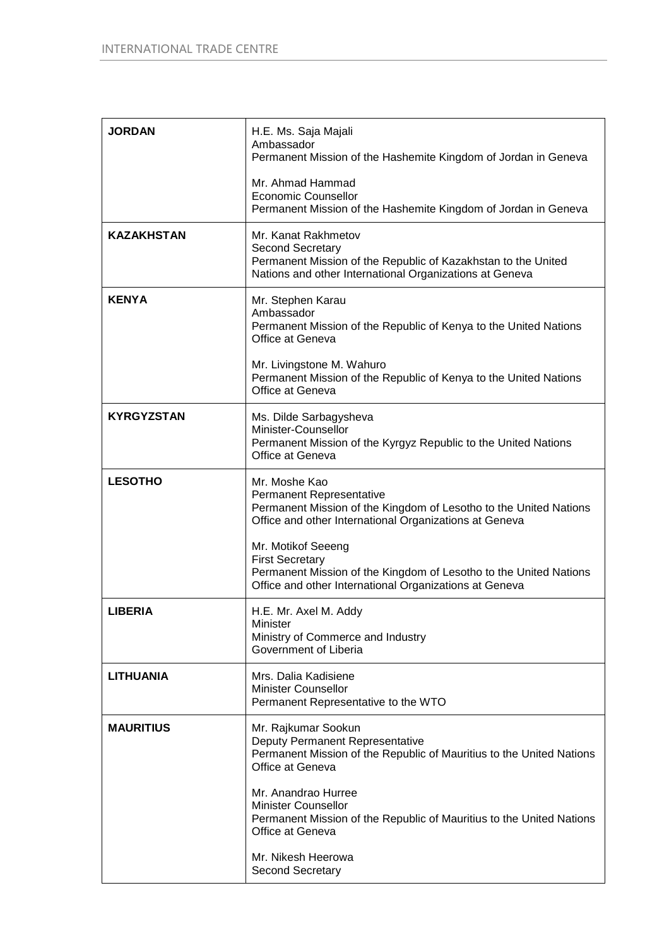| <b>JORDAN</b>     | H.E. Ms. Saja Majali<br>Ambassador<br>Permanent Mission of the Hashemite Kingdom of Jordan in Geneva                                                                        |
|-------------------|-----------------------------------------------------------------------------------------------------------------------------------------------------------------------------|
|                   | Mr. Ahmad Hammad<br><b>Economic Counsellor</b><br>Permanent Mission of the Hashemite Kingdom of Jordan in Geneva                                                            |
| <b>KAZAKHSTAN</b> | Mr. Kanat Rakhmetov<br><b>Second Secretary</b><br>Permanent Mission of the Republic of Kazakhstan to the United<br>Nations and other International Organizations at Geneva  |
| <b>KENYA</b>      | Mr. Stephen Karau<br>Ambassador<br>Permanent Mission of the Republic of Kenya to the United Nations<br>Office at Geneva                                                     |
|                   | Mr. Livingstone M. Wahuro<br>Permanent Mission of the Republic of Kenya to the United Nations<br>Office at Geneva                                                           |
| <b>KYRGYZSTAN</b> | Ms. Dilde Sarbagysheva<br>Minister-Counsellor<br>Permanent Mission of the Kyrgyz Republic to the United Nations<br>Office at Geneva                                         |
| <b>LESOTHO</b>    | Mr. Moshe Kao<br>Permanent Representative<br>Permanent Mission of the Kingdom of Lesotho to the United Nations<br>Office and other International Organizations at Geneva    |
|                   | Mr. Motikof Seeeng<br><b>First Secretary</b><br>Permanent Mission of the Kingdom of Lesotho to the United Nations<br>Office and other International Organizations at Geneva |
| <b>LIBERIA</b>    | H.E. Mr. Axel M. Addy<br>Minister<br>Ministry of Commerce and Industry<br>Government of Liberia                                                                             |
| <b>LITHUANIA</b>  | Mrs. Dalia Kadisiene<br><b>Minister Counsellor</b><br>Permanent Representative to the WTO                                                                                   |
| <b>MAURITIUS</b>  | Mr. Rajkumar Sookun<br>Deputy Permanent Representative<br>Permanent Mission of the Republic of Mauritius to the United Nations<br>Office at Geneva                          |
|                   | Mr. Anandrao Hurree<br><b>Minister Counsellor</b><br>Permanent Mission of the Republic of Mauritius to the United Nations<br>Office at Geneva                               |
|                   | Mr. Nikesh Heerowa<br><b>Second Secretary</b>                                                                                                                               |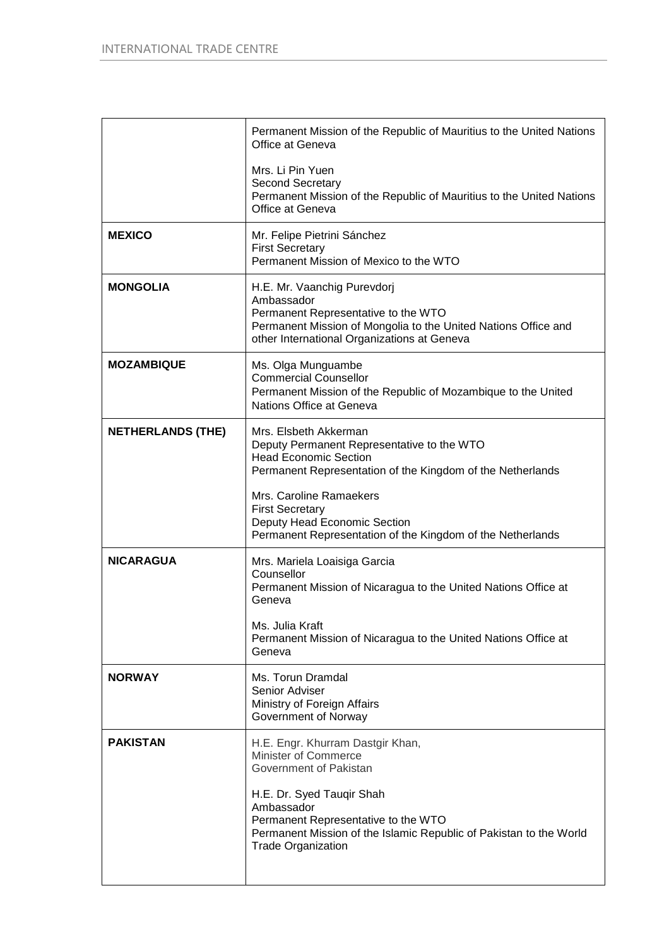|                          | Permanent Mission of the Republic of Mauritius to the United Nations<br>Office at Geneva                                                                                                          |
|--------------------------|---------------------------------------------------------------------------------------------------------------------------------------------------------------------------------------------------|
|                          | Mrs. Li Pin Yuen<br>Second Secretary<br>Permanent Mission of the Republic of Mauritius to the United Nations<br>Office at Geneva                                                                  |
| <b>MEXICO</b>            | Mr. Felipe Pietrini Sánchez<br><b>First Secretary</b><br>Permanent Mission of Mexico to the WTO                                                                                                   |
| <b>MONGOLIA</b>          | H.E. Mr. Vaanchig Purevdorj<br>Ambassador<br>Permanent Representative to the WTO<br>Permanent Mission of Mongolia to the United Nations Office and<br>other International Organizations at Geneva |
| <b>MOZAMBIQUE</b>        | Ms. Olga Munguambe<br><b>Commercial Counsellor</b><br>Permanent Mission of the Republic of Mozambique to the United<br>Nations Office at Geneva                                                   |
| <b>NETHERLANDS (THE)</b> | Mrs. Elsbeth Akkerman<br>Deputy Permanent Representative to the WTO<br><b>Head Economic Section</b><br>Permanent Representation of the Kingdom of the Netherlands                                 |
|                          | Mrs. Caroline Ramaekers<br><b>First Secretary</b><br>Deputy Head Economic Section<br>Permanent Representation of the Kingdom of the Netherlands                                                   |
| <b>NICARAGUA</b>         | Mrs. Mariela Loaisiga Garcia<br>Counsellor<br>Permanent Mission of Nicaragua to the United Nations Office at<br>Geneva                                                                            |
|                          | Ms. Julia Kraft<br>Permanent Mission of Nicaragua to the United Nations Office at<br>Geneva                                                                                                       |
| <b>NORWAY</b>            | Ms. Torun Dramdal<br>Senior Adviser<br>Ministry of Foreign Affairs<br>Government of Norway                                                                                                        |
| <b>PAKISTAN</b>          | H.E. Engr. Khurram Dastgir Khan,<br><b>Minister of Commerce</b><br>Government of Pakistan                                                                                                         |
|                          | H.E. Dr. Syed Tauqir Shah<br>Ambassador<br>Permanent Representative to the WTO<br>Permanent Mission of the Islamic Republic of Pakistan to the World<br><b>Trade Organization</b>                 |
|                          |                                                                                                                                                                                                   |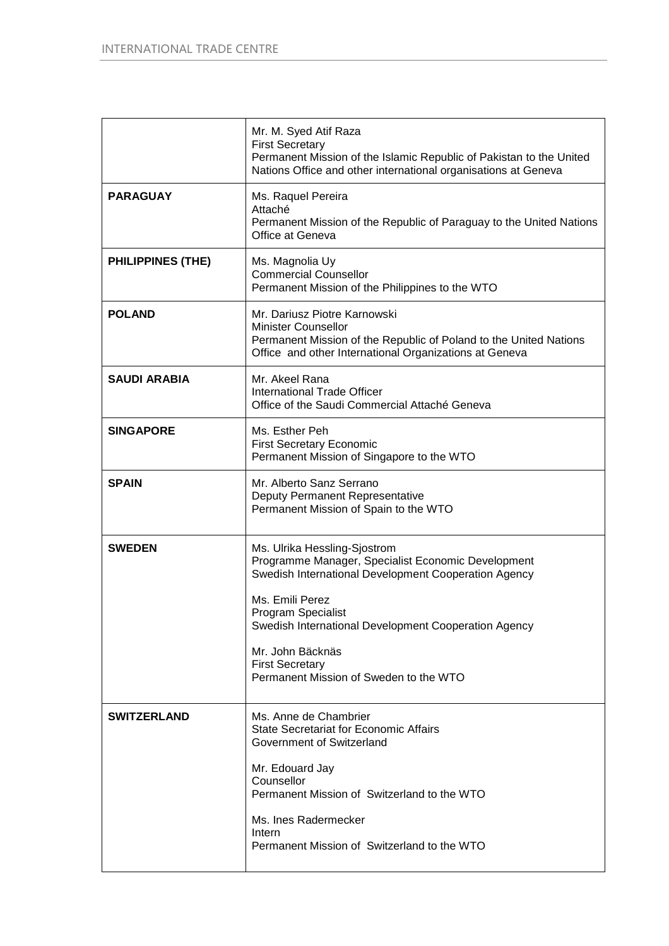|                          | Mr. M. Syed Atif Raza<br><b>First Secretary</b><br>Permanent Mission of the Islamic Republic of Pakistan to the United<br>Nations Office and other international organisations at Geneva                                                                                                                                            |
|--------------------------|-------------------------------------------------------------------------------------------------------------------------------------------------------------------------------------------------------------------------------------------------------------------------------------------------------------------------------------|
| <b>PARAGUAY</b>          | Ms. Raquel Pereira<br>Attaché<br>Permanent Mission of the Republic of Paraguay to the United Nations<br>Office at Geneva                                                                                                                                                                                                            |
| <b>PHILIPPINES (THE)</b> | Ms. Magnolia Uy<br><b>Commercial Counsellor</b><br>Permanent Mission of the Philippines to the WTO                                                                                                                                                                                                                                  |
| <b>POLAND</b>            | Mr. Dariusz Piotre Karnowski<br><b>Minister Counsellor</b><br>Permanent Mission of the Republic of Poland to the United Nations<br>Office and other International Organizations at Geneva                                                                                                                                           |
| <b>SAUDI ARABIA</b>      | Mr. Akeel Rana<br><b>International Trade Officer</b><br>Office of the Saudi Commercial Attaché Geneva                                                                                                                                                                                                                               |
| <b>SINGAPORE</b>         | Ms. Esther Peh<br><b>First Secretary Economic</b><br>Permanent Mission of Singapore to the WTO                                                                                                                                                                                                                                      |
| <b>SPAIN</b>             | Mr. Alberto Sanz Serrano<br>Deputy Permanent Representative<br>Permanent Mission of Spain to the WTO                                                                                                                                                                                                                                |
| <b>SWEDEN</b>            | Ms. Ulrika Hessling-Sjostrom<br>Programme Manager, Specialist Economic Development<br>Swedish International Development Cooperation Agency<br>Ms. Emili Perez<br>Program Specialist<br>Swedish International Development Cooperation Agency<br>Mr. John Bäcknäs<br><b>First Secretary</b><br>Permanent Mission of Sweden to the WTO |
| <b>SWITZERLAND</b>       | Ms. Anne de Chambrier<br><b>State Secretariat for Economic Affairs</b><br>Government of Switzerland<br>Mr. Edouard Jay<br>Counsellor<br>Permanent Mission of Switzerland to the WTO<br>Ms. Ines Radermecker<br>Intern<br>Permanent Mission of Switzerland to the WTO                                                                |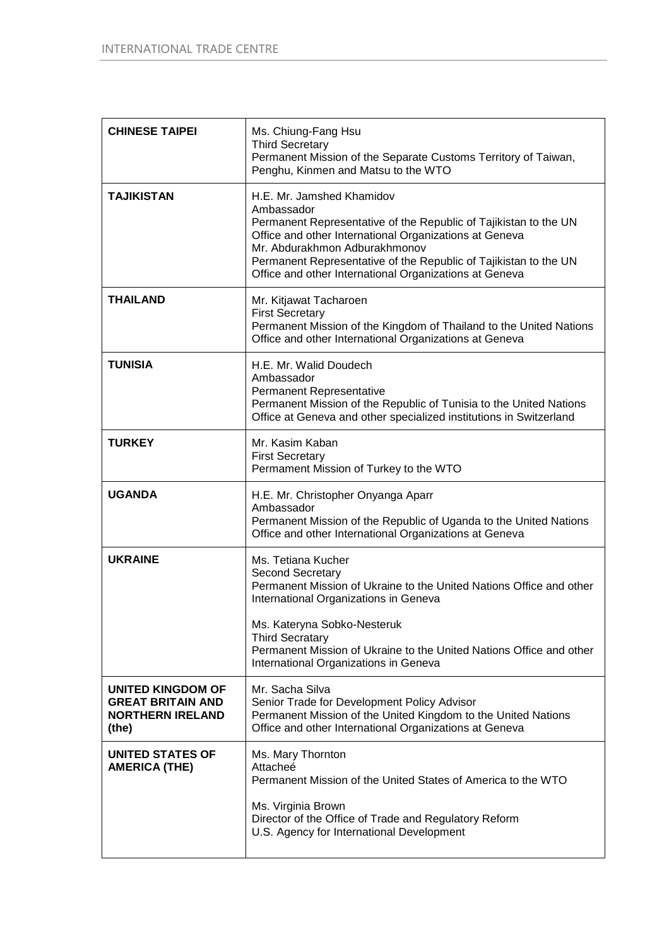| <b>CHINESE TAIPEI</b>                                                                    | Ms. Chiung-Fang Hsu<br><b>Third Secretary</b><br>Permanent Mission of the Separate Customs Territory of Taiwan,<br>Penghu, Kinmen and Matsu to the WTO                                                                                                                                                                               |
|------------------------------------------------------------------------------------------|--------------------------------------------------------------------------------------------------------------------------------------------------------------------------------------------------------------------------------------------------------------------------------------------------------------------------------------|
| <b>TAJIKISTAN</b>                                                                        | H.E. Mr. Jamshed Khamidov<br>Ambassador<br>Permanent Representative of the Republic of Tajikistan to the UN<br>Office and other International Organizations at Geneva<br>Mr. Abdurakhmon Adburakhmonov<br>Permanent Representative of the Republic of Tajikistan to the UN<br>Office and other International Organizations at Geneva |
| <b>THAILAND</b>                                                                          | Mr. Kitjawat Tacharoen<br><b>First Secretary</b><br>Permanent Mission of the Kingdom of Thailand to the United Nations<br>Office and other International Organizations at Geneva                                                                                                                                                     |
| <b>TUNISIA</b>                                                                           | H.E. Mr. Walid Doudech<br>Ambassador<br>Permanent Representative<br>Permanent Mission of the Republic of Tunisia to the United Nations<br>Office at Geneva and other specialized institutions in Switzerland                                                                                                                         |
| <b>TURKEY</b>                                                                            | Mr. Kasim Kaban<br><b>First Secretary</b><br>Permament Mission of Turkey to the WTO                                                                                                                                                                                                                                                  |
| <b>UGANDA</b>                                                                            | H.E. Mr. Christopher Onyanga Aparr<br>Ambassador<br>Permanent Mission of the Republic of Uganda to the United Nations<br>Office and other International Organizations at Geneva                                                                                                                                                      |
| <b>UKRAINE</b>                                                                           | Ms. Tetiana Kucher<br>Second Secretary<br>Permanent Mission of Ukraine to the United Nations Office and other<br>International Organizations in Geneva<br>Ms. Kateryna Sobko-Nesteruk<br><b>Third Secratary</b>                                                                                                                      |
|                                                                                          | Permanent Mission of Ukraine to the United Nations Office and other<br>International Organizations in Geneva                                                                                                                                                                                                                         |
| <b>UNITED KINGDOM OF</b><br><b>GREAT BRITAIN AND</b><br><b>NORTHERN IRELAND</b><br>(the) | Mr. Sacha Silva<br>Senior Trade for Development Policy Advisor<br>Permanent Mission of the United Kingdom to the United Nations<br>Office and other International Organizations at Geneva                                                                                                                                            |
| <b>UNITED STATES OF</b><br><b>AMERICA (THE)</b>                                          | Ms. Mary Thornton<br>Attacheé<br>Permanent Mission of the United States of America to the WTO<br>Ms. Virginia Brown<br>Director of the Office of Trade and Regulatory Reform<br>U.S. Agency for International Development                                                                                                            |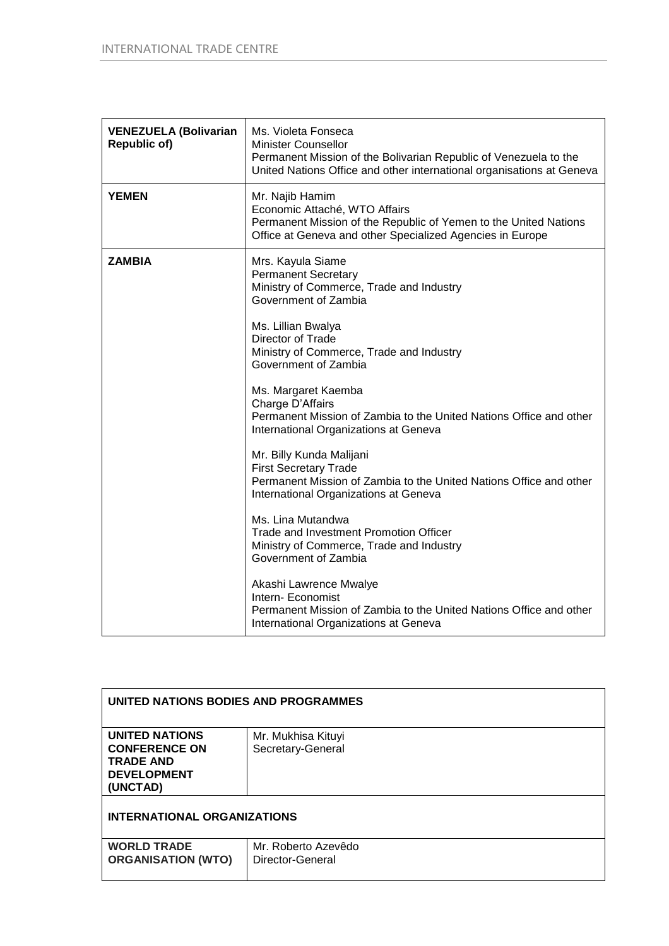| <b>VENEZUELA (Bolivarian</b><br><b>Republic of)</b> | Ms. Violeta Fonseca<br><b>Minister Counsellor</b><br>Permanent Mission of the Bolivarian Republic of Venezuela to the<br>United Nations Office and other international organisations at Geneva |
|-----------------------------------------------------|------------------------------------------------------------------------------------------------------------------------------------------------------------------------------------------------|
| <b>YEMEN</b>                                        | Mr. Najib Hamim<br>Economic Attaché, WTO Affairs<br>Permanent Mission of the Republic of Yemen to the United Nations<br>Office at Geneva and other Specialized Agencies in Europe              |
| <b>ZAMBIA</b>                                       | Mrs. Kayula Siame<br><b>Permanent Secretary</b><br>Ministry of Commerce, Trade and Industry<br>Government of Zambia                                                                            |
|                                                     | Ms. Lillian Bwalya<br>Director of Trade<br>Ministry of Commerce, Trade and Industry<br>Government of Zambia                                                                                    |
|                                                     | Ms. Margaret Kaemba<br>Charge D'Affairs<br>Permanent Mission of Zambia to the United Nations Office and other<br>International Organizations at Geneva                                         |
|                                                     | Mr. Billy Kunda Malijani<br><b>First Secretary Trade</b><br>Permanent Mission of Zambia to the United Nations Office and other<br>International Organizations at Geneva                        |
|                                                     | Ms. Lina Mutandwa<br>Trade and Investment Promotion Officer<br>Ministry of Commerce, Trade and Industry<br>Government of Zambia                                                                |
|                                                     | Akashi Lawrence Mwalye<br>Intern- Economist<br>Permanent Mission of Zambia to the United Nations Office and other<br>International Organizations at Geneva                                     |

| UNITED NATIONS BODIES AND PROGRAMMES                                                                |                                         |
|-----------------------------------------------------------------------------------------------------|-----------------------------------------|
| <b>UNITED NATIONS</b><br><b>CONFERENCE ON</b><br><b>TRADE AND</b><br><b>DEVELOPMENT</b><br>(UNCTAD) | Mr. Mukhisa Kituyi<br>Secretary-General |
| <b>INTERNATIONAL ORGANIZATIONS</b>                                                                  |                                         |
| <b>WORLD TRADE</b><br><b>ORGANISATION (WTO)</b>                                                     | Mr. Roberto Azevêdo<br>Director-General |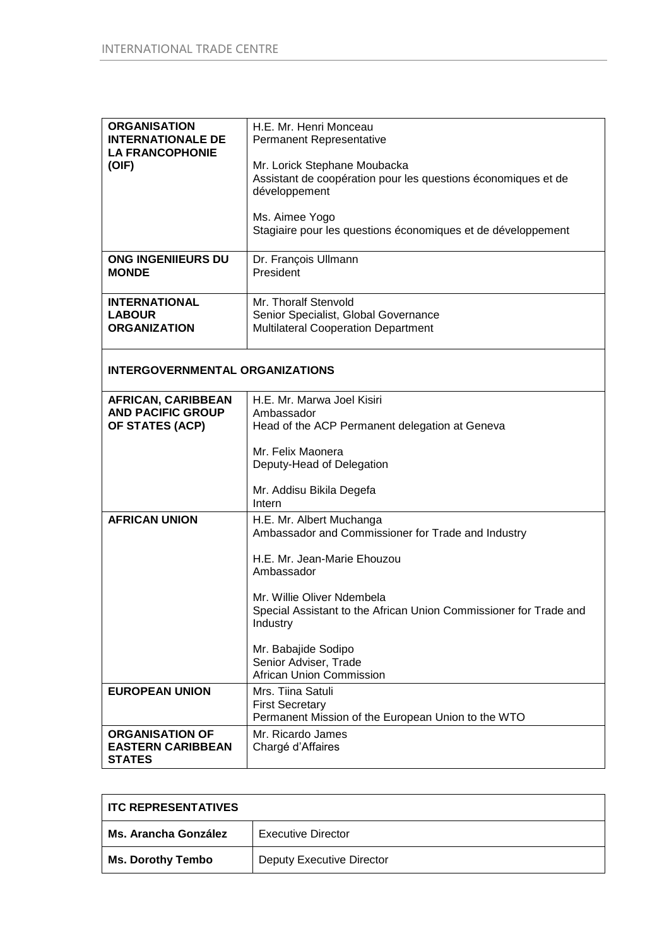| <b>ORGANISATION</b><br><b>INTERNATIONALE DE</b><br><b>LA FRANCOPHONIE</b><br>(OIF) | H.E. Mr. Henri Monceau<br>Permanent Representative<br>Mr. Lorick Stephane Moubacka<br>Assistant de coopération pour les questions économiques et de<br>développement<br>Ms. Aimee Yogo<br>Stagiaire pour les questions économiques et de développement                                                                        |  |
|------------------------------------------------------------------------------------|-------------------------------------------------------------------------------------------------------------------------------------------------------------------------------------------------------------------------------------------------------------------------------------------------------------------------------|--|
| <b>ONG INGENIIEURS DU</b><br><b>MONDE</b>                                          | Dr. François Ullmann<br>President                                                                                                                                                                                                                                                                                             |  |
| <b>INTERNATIONAL</b><br><b>LABOUR</b><br><b>ORGANIZATION</b>                       | Mr. Thoralf Stenvold<br>Senior Specialist, Global Governance<br><b>Multilateral Cooperation Department</b>                                                                                                                                                                                                                    |  |
| <b>INTERGOVERNMENTAL ORGANIZATIONS</b>                                             |                                                                                                                                                                                                                                                                                                                               |  |
| <b>AFRICAN, CARIBBEAN</b><br><b>AND PACIFIC GROUP</b><br>OF STATES (ACP)           | H.E. Mr. Marwa Joel Kisiri<br>Ambassador<br>Head of the ACP Permanent delegation at Geneva<br>Mr. Felix Maonera<br>Deputy-Head of Delegation<br>Mr. Addisu Bikila Degefa<br>Intern                                                                                                                                            |  |
| <b>AFRICAN UNION</b>                                                               | H.E. Mr. Albert Muchanga<br>Ambassador and Commissioner for Trade and Industry<br>H.E. Mr. Jean-Marie Ehouzou<br>Ambassador<br>Mr. Willie Oliver Ndembela<br>Special Assistant to the African Union Commissioner for Trade and<br>Industry<br>Mr. Babajide Sodipo<br>Senior Adviser, Trade<br><b>African Union Commission</b> |  |
| <b>EUROPEAN UNION</b>                                                              | Mrs. Tiina Satuli<br><b>First Secretary</b><br>Permanent Mission of the European Union to the WTO                                                                                                                                                                                                                             |  |
| <b>ORGANISATION OF</b><br><b>EASTERN CARIBBEAN</b><br><b>STATES</b>                | Mr. Ricardo James<br>Chargé d'Affaires                                                                                                                                                                                                                                                                                        |  |

| <b>ITC REPRESENTATIVES</b> |                                  |
|----------------------------|----------------------------------|
| Ms. Arancha González       | Executive Director               |
| <b>Ms. Dorothy Tembo</b>   | <b>Deputy Executive Director</b> |